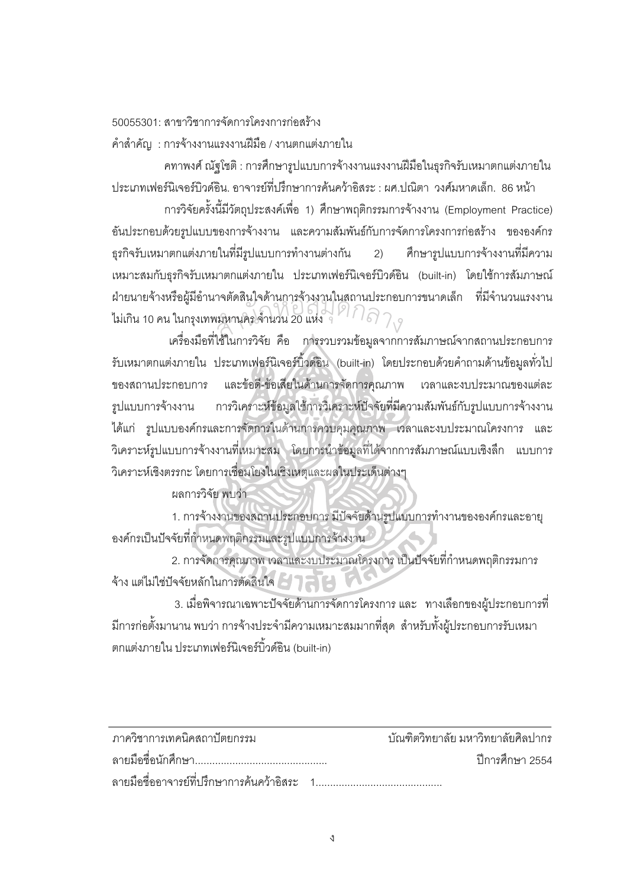50055301: สาขาวิชาการจัดการโครงการก่อสร้าง

้คำสำคัญ : การจ้างงานแรงงานฝีมือ / งานตกแต่งภายใน

ิคทาพงศ์ ณัฐโชติ : การศึกษารูปแบบการจ้างงานแรงงานฝีมือในธุรกิจรับเหมาตกแต่งภายใน ประเภทเฟอร์นิเจอร์บิวด์อิน. อาจารย์ที่ปรึกษาการค้นคว้าอิสระ : ผศ.ปณิตา วงศ์มหาดเล็ก. 86 หน้า

การวิจัยครั้งนี้มีวัตถุประสงค์เพื่อ 1) ศึกษาพฤติกรรมการจ้างงาน (Employment Practice) ้อันประกอบด้วยรูปแบบของการจ้างงาน และความสัมพันธ์กับการจัดการโครงการก่อสร้าง ขององค์กร ธุรกิจรับเหมาตกแต่งภายในที่มีรูปแบบการทำงานต่างกัน  $(2)$ ์ ศึกษารูปแบบการจ้างงานที่มีความ เหมาะสมกับธุรกิจรับเหมาตกแต่งภายใน ประเภทเฟอร์นิเจอร์บิวด์อิน (built-in) โดยใช้การสัมภาษณ์ ้ฝ่ายนายจ้างหรือผู้มีอำนาจตัดสินใจด้านการจ้างงานในสถานประกอบการขนาดเล็ก ที่มีจำนวนแรงงาน ไม่เกิน 10 คน ในกรุงเทพมหานคร จำนวน 20 แห่ง จุ $\widehat{\mathcal{P}}$   $\widehat{\mathcal{P}}$   $\widehat{\mathcal{P}}$   $\widehat{\mathcal{P}}$ 

เครื่องมือที่ใช้ในการวิจัย คือ การรวบรวมข้อมูลจากการสัมภาษณ์จากสถานประกอบการ รับเหมาตกแต่งภายใน ประเภทเฟอร์นิเจอร์บิ้วด์อิน (built-in) โดยประกอบด้วยคำถามด้านข้อมูลทั่วไป และข้อดี-ข้อเสียในด้านการจัดการคุณภาพ เวลาและงบประมาณของแต่ละ ของสถานประกอบการ รูปแบบการจ้างงาน การวิเคราะห์ข้อมูลใช้การวิเคราะห์ปัจจัยที่มีความสัมพันธ์กับรูปแบบการจ้างงาน ้ได้แก่ รูปแบบองค์กรและการจัดการในด้านการควบคุมคุณภาพ เวลาและงบประมาณโครงการ และ วิเคราะห์รูปแบบการจ้างงานที่เหมาะสม โดยการนำข้อมูลที่ได้จากการสัมภาษณ์แบบเชิงลึก แบบการ วิเคราะห์เชิงตรรกะ โดยการเชื่อมโยงในเชิงเหตุและผลในประเด็นต่างๆ

ผลการวิจัย พบว่า

1. การจ้างงานของสถานประกอบการ มีปัจจัยด้านรูปแบบการทำงานขององค์กรและอายุ องค์กรเป็นปัจจัยที่กำหนดพฤติกรรมและรูปแบบการจ้างงาน<sup>20</sup>

2. การจัดการคุณภาพ เวลาและงบประมาณโครงการ เป็นปัจจัยที่กำหนดพฤติกรรมการ จ้าง แต่ไม่ใช่ปัจจัยหลักในการตัดสินใจ 21774

3. เมื่อพิจารณาเฉพาะปัจจัยด้านการจัดการโครงการ และ ทางเลือกของผู้ประกอบการที่ ้มีการก่อตั้งมานาน พบว่า การจ้างประจำมีความเหมาะสมมากที่สุด สำหรับทั้งผู้ประกอบการรับเหมา ิตกแต่งภายใน ประเภทเฟอร์นิเจอร์บิ้วด์อิน (built-in)

| ภาควิชาการเทคนิคสถาปัตยกรรม                 | ้ บัณฑิตวิทยาลัย มหาวิทยาลัยศิลปากร |                   |
|---------------------------------------------|-------------------------------------|-------------------|
|                                             |                                     | ์ ปีการศึกษา 2554 |
| ลายมือชื่ออาจารย์ที่ปรึกษาการค้นคว้าอิสระ 1 |                                     |                   |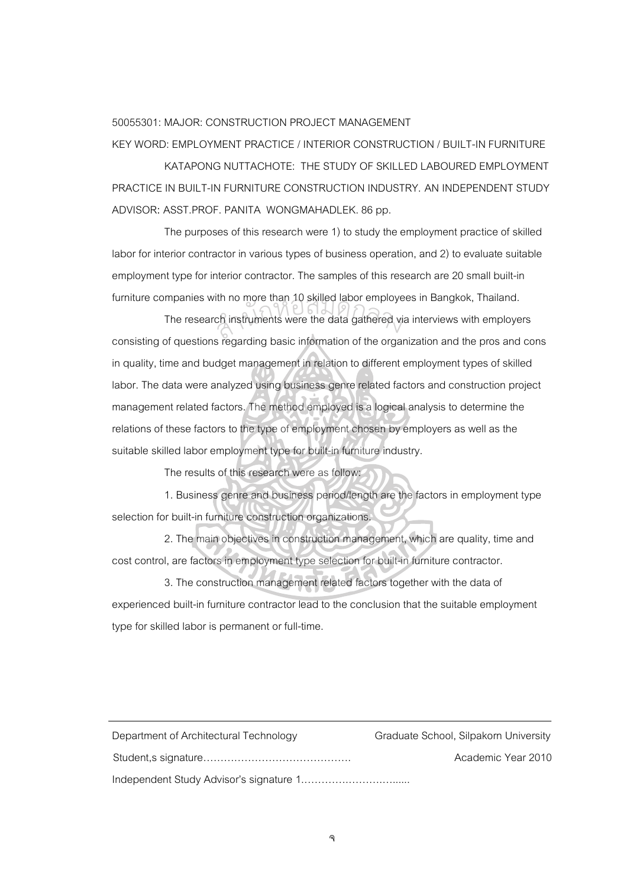## 50055301: MAJOR: CONSTRUCTION PROJECT MANAGEMENT

KEY WORD: EMPLOYMENT PRACTICE / INTERIOR CONSTRUCTION / BUILT-IN FURNITURE

KATAPONG NUTTACHOTE: THE STUDY OF SKILLED LABOURED EMPLOYMENT PRACTICE IN BUILT-IN FURNITURE CONSTRUCTION INDUSTRY. AN INDEPENDENT STUDY ADVISOR: ASST.PROF. PANITA WONGMAHADLEK. 86 pp.

The purposes of this research were 1) to study the employment practice of skilled labor for interior contractor in various types of business operation, and 2) to evaluate suitable employment type for interior contractor. The samples of this research are 20 small built-in furniture companies with no more than 10 skilled labor employees in Bangkok, Thailand.

The research instruments were the data gathered via interviews with employers consisting of questions regarding basic information of the organization and the pros and cons in quality, time and budget management in relation to different employment types of skilled labor. The data were analyzed using business genre related factors and construction project management related factors. The method employed is a logical analysis to determine the relations of these factors to the type of employment chosen by employers as well as the suitable skilled labor employment type for built-in furniture industry. ch instruments were the data gathered vi

The results of this research were as follow:

1. Business genre and business period/length are the factors in employment type selection for built-in furniture construction organizations.

2. The main objectives in construction management, which are quality, time and cost control, are factors in employment type selection for built-in furniture contractor.

3. The construction management related factors together with the data of experienced built-in furniture contractor lead to the conclusion that the suitable employment type for skilled labor is permanent or full-time.

| Department of Architectural Technology | Graduate School, Silpakorn University |
|----------------------------------------|---------------------------------------|
|                                        | Academic Year 2010                    |
|                                        |                                       |